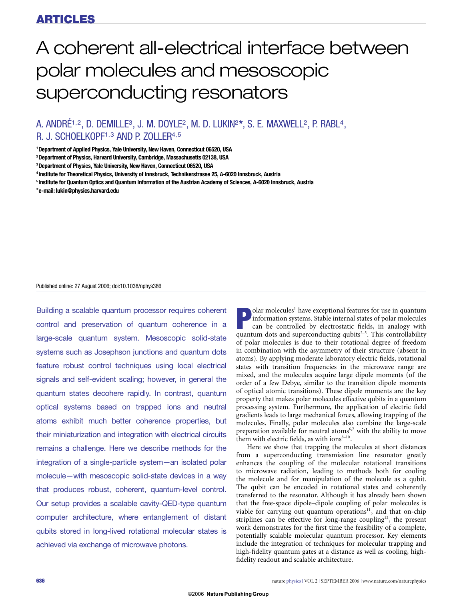# A coherent all-electrical interface between polar molecules and mesoscopic superconducting resonators

# A. ANDRÉ<sup>1,2</sup>, D. DEMILLE<sup>3</sup>, J. M. DOYLE<sup>2</sup>, M. D. LUKIN<sup>2\*</sup>, S. E. MAXWELL<sup>2</sup>, P. RABL<sup>4</sup>, R. J. SCHOELKOPF<sup>1,3</sup> AND P. ZOLLER<sup>4,5</sup>

**1 Department of Applied Physics, Yale University, New Haven, Connecticut 06520, USA**

**2 Department of Physics, Harvard University, Cambridge, Massachusetts 02138, USA**

**4 Institute for Theoretical Physics, University of Innsbruck, Technikerstrasse 25, A-6020 Innsbruck, Austria**

**5 Institute for Quantum Optics and Quantum Information of the Austrian Academy of Sciences, A-6020 Innsbruck, Austria**

**\*e-mail: lukin@physics.harvard.edu**

#### Published online: 27 August 2006; doi:10.1038/nphys386

Building a scalable quantum processor requires coherent control and preservation of quantum coherence in a large-scale quantum system. Mesoscopic solid-state systems such as Josephson junctions and quantum dots feature robust control techniques using local electrical signals and self-evident scaling; however, in general the quantum states decohere rapidly. In contrast, quantum optical systems based on trapped ions and neutral atoms exhibit much better coherence properties, but their miniaturization and integration with electrical circuits remains a challenge. Here we describe methods for the integration of a single-particle system—an isolated polar molecule—with mesoscopic solid-state devices in a way that produces robust, coherent, quantum-level control. Our setup provides a scalable cavity-QED-type quantum computer architecture, where entanglement of distant qubits stored in long-lived rotational molecular states is achieved via exchange of microwave photons.

**Polar molecules<sup>1</sup>** have exceptional features for use in quantum<br>information systems. Stable internal states of polar molecules<br>can be controlled by electrostatic fields, in analogy with<br>quantum dots and superconducting q information systems. Stable internal states of polar molecules can be controlled by electrostatic fields, in analogy with quantum dots and superconducting qubits $2-5$ . This controllability of polar molecules is due to their rotational degree of freedom in combination with the asymmetry of their structure (absent in atoms). By applying moderate laboratory electric fields, rotational states with transition frequencies in the microwave range are mixed, and the molecules acquire large dipole moments (of the order of a few Debye, similar to the transition dipole moments of optical atomic transitions). These dipole moments are the key property that makes polar molecules effective qubits in a quantum processing system. Furthermore, the application of electric field gradients leads to large mechanical forces, allowing trapping of the molecules. Finally, polar molecules also combine the large-scale preparation available for neutral atoms<sup>6,7</sup> with the ability to move them with electric fields, as with ions $8-10$ .

Here we show that trapping the molecules at short distances from a superconducting transmission line resonator greatly enhances the coupling of the molecular rotational transitions to microwave radiation, leading to methods both for cooling the molecule and for manipulation of the molecule as a qubit. The qubit can be encoded in rotational states and coherently transferred to the resonator. Although it has already been shown that the free-space dipole–dipole coupling of polar molecules is viable for carrying out quantum operations<sup>11</sup>, and that on-chip striplines can be effective for long-range coupling<sup>12</sup>, the present work demonstrates for the first time the feasibility of a complete, potentially scalable molecular quantum processor. Key elements include the integration of techniques for molecular trapping and high-fidelity quantum gates at a distance as well as cooling, highfidelity readout and scalable architecture.

**<sup>3</sup> Department of Physics, Yale University, New Haven, Connecticut 06520, USA**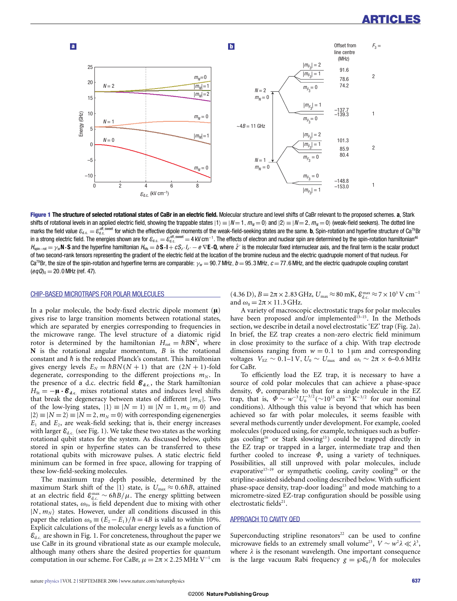

**Figure 1 The structure of selected rotational states of CaBr in an electric field.** Molecular structure and level shifts of CaBr relevant to the proposed schemes. **a**, Stark shifts of rotational levels in an applied electric field, showing the trappable states  $|1\rangle \equiv |N=1,m_N=0\rangle$  and  $|2\rangle \equiv |N=2,m_N=0\rangle$  (weak-field seekers). The dotted line marks the field value  $\varepsilon_{d.c.} = \varepsilon_{d.c.}^{\text{off, swept}}$  for which the effective dipole moments of the weak-field-seeking states are the same. **b**, Spin-rotation and hyperfine structure of Ca<sup>79</sup>Br in a strong electric field. The energies shown are for  $\varepsilon_{\text{d.c.}} = \varepsilon_{\text{d.c.}}^{\text{off, sweet}} =$  4 kV cm $^{-1}$ . The effects of electron and nuclear spin are determined by the spin-rotation hamiltonian $^{46}$  $H_{\text{soin--tot}} = \gamma_{\text{sr}} N \cdot S$  and the hyperfine hamiltonian  $H_{\text{mis}} = b S \cdot l + c S_z / l_z - e \nabla E \cdot Q$ , where  $\hat{z}$  is the molecular fixed internuclear axis, and the final term is the scalar product of two second-rank tensors representing the gradient of the electric field at the location of the bromine nucleus and the electric quadrupole moment of that nucleus. For Ca<sup>79</sup>Br, the size of the spin-rotation and hyperfine terms are comparable:  $\gamma_{\rm sr} = 90.7$  MHz,  $b = 95.3$  MHz,  $c = 77.6$  MHz, and the electric quadrupole coupling constant  $(eqQ)_0 = 20.0$  MHz (ref. 47).

#### CHIP-BASED MICROTRAPS FOR POLAR MOLECULES

In a polar molecule, the body-fixed electric dipole moment  $(\mu)$ gives rise to large transition moments between rotational states, which are separated by energies corresponding to frequencies in the microwave range. The level structure of a diatomic rigid rotor is determined by the hamiltonian  $H_{\text{rot}} = \hbar B N^2$ , where **N** is the rotational angular momentum, *B* is the rotational constant and  $\hbar$  is the reduced Planck's constant. This hamiltonian gives energy levels  $E_N = \hbar B N(N + 1)$  that are  $(2N + 1)$ -fold degenerate, corresponding to the different projections  $m_N$ . In the presence of a d.c. electric field **Ed**.**c**., the Stark hamiltonian  $H_{\text{St}} = -\mu \cdot \mathcal{E}_{\text{d.c.}}$  mixes rotational states and induces level shifts that break the degeneracy between states of different  $|m_N|$ . Two of the low-lying states,  $|1\rangle \equiv |N=1\rangle \equiv |N=1, m_N=0\rangle$  and  $|2\rangle \equiv |N=2\rangle \equiv |N=2, m_N=0\rangle$  with corresponding eigenenergies  $E_1$  and  $E_2$ , are weak-field seeking; that is, their energy increases with larger  $\varepsilon_{d.c.}$  (see Fig. 1). We take these two states as the working rotational qubit states for the system. As discussed below, qubits stored in spin or hyperfine states can be transferred to these rotational qubits with microwave pulses. A static electric field minimum can be formed in free space, allowing for trapping of these low-field-seeking molecules.

The maximum trap depth possible, determined by the maximum Stark shift of the  $|1\rangle$  state, is  $U_{\text{max}} \approx 0.6\hbar B$ , attained at an electric field  $\mathcal{E}_{a.c.}^{max}$  ∼ 6*hB*/ $\mu$ . The energy splitting between rotational states,  $ω_0$ , is field dependent due to mixing with other  $|N, m_N\rangle$  states. However, under all conditions discussed in this paper the relation  $\omega_0 \equiv (E_2 - E_1)/\hbar = 4B$  is valid to within 10%. Explicit calculations of the molecular energy levels as a function of  $\mathcal{E}_{d,c}$  are shown in Fig. 1. For concreteness, throughout the paper we use CaBr in its ground vibrational state as our example molecule, although many others share the desired properties for quantum computation in our scheme. For CaBr,  $\mu = 2\pi \times 2.25$  MHz V<sup>-1</sup> cm

 $(4.36 \text{ D}), B = 2\pi \times 2.83 \text{ GHz}, U_{\text{max}} \approx 80 \text{ mK}, \mathcal{E}_{\text{d.c.}}^{\text{max}} \approx 7 \times 10^3 \text{ V cm}^{-1}$ and  $\omega_0 = 2\pi \times 11.3$  GHz.

A variety of macroscopic electrostatic traps for polar molecules have been proposed and/or implemented $13-15$ . In the Methods section, we describe in detail a novel electrostatic 'EZ' trap (Fig. 2a). In brief, the EZ trap creates a non-zero electric field minimum in close proximity to the surface of a chip. With trap electrode dimensions ranging from  $w = 0.1$  to 1  $\mu$ m and corresponding voltages  $V_{\text{EZ}} \sim 0.1 - 1 \text{ V}$ ,  $U_0 \sim U_{\text{max}}$  and  $\omega_t \sim 2\pi \times 6 - 0.6 \text{ MHz}$ for CaBr.

To efficiently load the EZ trap, it is necessary to have a source of cold polar molecules that can achieve a phase-space density,  $\Phi$ , comparable to that for a single molecule in the EZ trap, that is,  $\Phi \sim w^{-3} U_0^{-3/2} (\sim 10^{15} \text{ cm}^{-3} \text{ K}^{-3/2}$  for our nominal conditions). Although this value is beyond that which has been achieved so far with polar molecules, it seems feasible with several methods currently under development. For example, cooled molecules (produced using, for example, techniques such as buffergas cooling16 or Stark slowing13) could be trapped directly in the EZ trap or trapped in a larger, intermediate trap and then further cooled to increase  $\Phi$ , using a variety of techniques. Possibilities, all still unproved with polar molecules, include evaporative<sup>17-19</sup> or sympathetic cooling, cavity cooling<sup>20</sup> or the stripline-assisted sideband cooling described below. With sufficient phase-space density, trap-door loading<sup>13</sup> and mode matching to a micrometre-sized EZ-trap configuration should be possible using electrostatic fields<sup>21</sup>.

# APPROACH TO CAVITY QED

Superconducting stripline resonators $22$  can be used to confine microwave fields to an extremely small volume<sup>23</sup>,  $V \sim w^2 \lambda \ll \lambda^3$ , where  $\lambda$  is the resonant wavelength. One important consequence is the large vacuum Rabi frequency  $g = \frac{\partial \mathcal{E}_0}{h}$  for molecules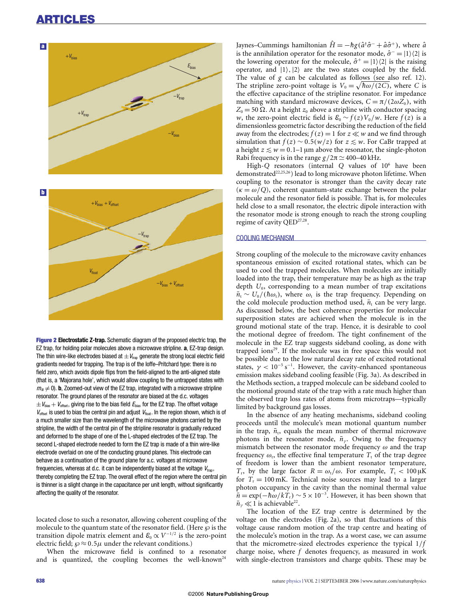

**Figure 2 Electrostatic Z-trap.** Schematic diagram of the proposed electric trap, the EZ trap, for holding polar molecules above a microwave stripline. **a**, EZ-trap design. The thin wire-like electrodes biased at  $\pm V_{\text{trap}}$  generate the strong local electric field gradients needed for trapping. The trap is of the Ioffe–Pritchard type: there is no field zero, which avoids dipole flips from the field-aligned to the anti-aligned state (that is, a 'Majorana hole', which would allow coupling to the untrapped states with  $m_N \neq 0$ ). **b**, Zoomed-out view of the EZ trap, integrated with a microwave stripline resonator. The ground planes of the resonator are biased at the d.c. voltages  $\pm V_{\text{bias}} + V_{\text{offset}}$ , giving rise to the bias field  $E_{\text{bias}}$  for the EZ trap. The offset voltage  $V_{\text{offset}}$  is used to bias the central pin and adjust  $V_{\text{float}}$ . In the region shown, which is of a much smaller size than the wavelength of the microwave photons carried by the stripline, the width of the central pin of the stripline resonator is gradually reduced and deformed to the shape of one of the L-shaped electrodes of the EZ trap. The second L-shaped electrode needed to form the EZ trap is made of a thin wire-like electrode overlaid on one of the conducting ground planes. This electrode can behave as a continuation of the ground plane for a.c. voltages at microwave frequencies, whereas at d.c. it can be independently biased at the voltage  $V_{tran}$ , thereby completing the EZ trap. The overall effect of the region where the central pin is thinner is a slight change in the capacitance per unit length, without significantly affecting the quality of the resonator.

located close to such a resonator, allowing coherent coupling of the molecule to the quantum state of the resonator field. (Here  $\wp$  is the transition dipole matrix element and  $\mathcal{E}_0 \propto V^{-1/2}$  is the zero-point electric field;  $\wp \approx 0.5\mu$  under the relevant conditions.)

When the microwave field is confined to a resonator and is quantized, the coupling becomes the well-known<sup>24</sup>

Jaynes–Cummings hamiltonian  $H = -\hbar g(\hat{a}^\dagger \hat{\sigma}^- + \hat{a} \hat{\sigma}^+)$ , where  $\hat{a}$ <br>is the small ilation coverts for the measured as  $\hat{a} = -11/21$ is the annihilation operator for the resonator mode,  $\hat{\sigma}^- = |1\rangle\langle 2|$  is the lowering operator for the molecule,  $\hat{\sigma}^+ = |1\rangle\langle 2|$  is the raising operator, and  $|1\rangle$ ,  $|2\rangle$  are the two states coupled by the field. The value of *g* can be calculated as follows (see also ref. 12). The stripline zero-point voltage is  $V_0 = \sqrt{\hbar \omega / (2C)}$ , where *C* is the effective capacitance of the stripline resonator. For impedance matching with standard microwave devices,  $C = \pi/(2\omega Z_0)$ , with  $Z_0 = 50 \Omega$ . At a height  $z_0$  above a stripline with conductor spacing *w*, the zero-point electric field is  $\mathcal{E}_0 \sim f(z) V_0 / w$ . Here  $f(z)$  is a dimensionless geometric factor describing the reduction of the field away from the electrodes;  $f(z) = 1$  for  $z \ll w$  and we find through simulation that  $f(z) \sim 0.5(w/z)$  for  $z \leq w$ . For CaBr trapped at a height  $z \leq w = 0.1-1$  µm above the resonator, the single-photon Rabi frequency is in the range  $g/2\pi \simeq 400-40$  kHz.

High-*Q* resonators (internal *Q* values of 106 have been demonstrated<sup>22,25,26</sup>) lead to long microwave photon lifetime. When coupling to the resonator is stronger than the cavity decay rate  $(\kappa = \omega/O)$ , coherent quantum-state exchange between the polar molecule and the resonator field is possible. That is, for molecules held close to a small resonator, the electric dipole interaction with the resonator mode is strong enough to reach the strong coupling regime of cavity QED<sup>27,28</sup>.

# COOLING MECHANISM

Strong coupling of the molecule to the microwave cavity enhances spontaneous emission of excited rotational states, which can be used to cool the trapped molecules. When molecules are initially loaded into the trap, their temperature may be as high as the trap depth *U*0, corresponding to a mean number of trap excitations  $\bar{n}_{\rm t} \sim U_0/(\hbar\omega_{\rm t})$ , where  $\omega_{\rm t}$  is the trap frequency. Depending on the cold molecule production method used,  $\bar{n}_t$  can be very large. As discussed below, the best coherence properties for molecular superposition states are achieved when the molecule is in the ground motional state of the trap. Hence, it is desirable to cool the motional degree of freedom. The tight confinement of the molecule in the EZ trap suggests sideband cooling, as done with trapped ions $29$ . If the molecule was in free space this would not be possible due to the low natural decay rate of excited rotational states,  $\gamma < 10^{-5}$  s<sup>-1</sup>. However, the cavity-enhanced spontaneous emission makes sideband cooling feasible (Fig. 3a). As described in the Methods section, a trapped molecule can be sideband cooled to the motional ground state of the trap with a rate much higher than the observed trap loss rates of atoms from microtraps—typically limited by background gas losses.

In the absence of any heating mechanisms, sideband cooling proceeds until the molecule's mean motional quantum number in the trap,  $\bar{n}_t$ , equals the mean number of thermal microwave photons in the resonator mode,  $\bar{n}_{\gamma}$ . Owing to the frequency mismatch between the resonator mode frequency  $\omega$  and the trap frequency  $\omega_t$ , the effective final temperature  $T_t$  of the trap degree of freedom is lower than the ambient resonator temperature, *T*<sub>r</sub>, by the large factor *R* =  $ω_t/ω$ . For example, *T*<sub>t</sub> < 100 μK for  $T_r = 100$  mK. Technical noise sources may lead to a larger photon occupancy in the cavity than the nominal thermal value  $\bar{n} = \exp(-\hbar\omega/kT_{\rm r}) \sim 5 \times 10^{-3}$ . However, it has been shown that  $\bar{n}_{\gamma} \ll 1$  is achievable<sup>22</sup>.

The location of the EZ trap centre is determined by the voltage on the electrodes (Fig. 2a), so that fluctuations of this voltage cause random motion of the trap centre and heating of the molecule's motion in the trap. As a worst case, we can assume that the micrometre-sized electrodes experience the typical 1/*f* charge noise, where *f* denotes frequency, as measured in work with single-electron transistors and charge qubits. These may be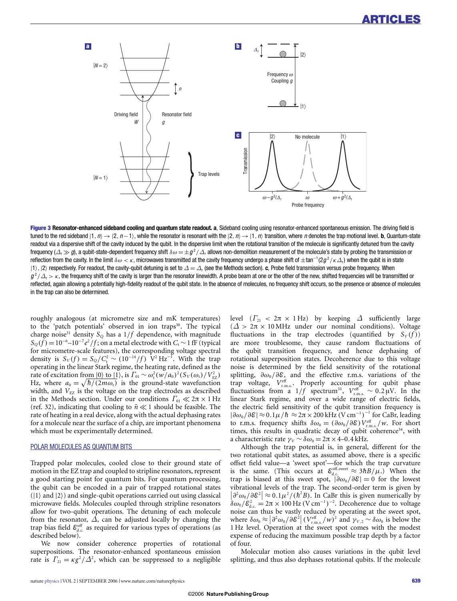

**Figure 3 Resonator-enhanced sideband cooling and quantum state readout. a**, Sideband cooling using resonator-enhanced spontaneous emission. The driving field is tuned to the red sideband  $|1, n\rangle \rightarrow |2, n-1\rangle$ , while the resonator is resonant with the  $|2, n\rangle \rightarrow |1, n\rangle$  transition, where  $n$  denotes the trap motional level. **b**, Quantum-state readout via a dispersive shift of the cavity induced by the qubit. In the dispersive limit when the rotational transition of the molecule is significantly detuned from the cavity frequency ( $\Delta_r \gg g$ ), a qubit-state-dependent frequency shift  $\delta\omega = \pm g^2/\Delta_r$  allows non-demolition measurement of the molecule's state by probing the transmission or reflection from the cavity. In the limit  $\delta\omega<\kappa$ , microwaves transmitted at the cavity frequency undergo a phase shift of  $\pm\tan^{-1}(2g^2/\kappa\varDelta_{\rm r})$  when the qubit is in state  $|1\rangle$ ,  $|2\rangle$  respectively. For readout, the cavity-qubit detuning is set to  $\Delta=\Delta_\text{r}$  (see the Methods section). **c**, Probe field transmission versus probe frequency. When  $g^2/\Delta_r \geq \kappa$ , the frequency shift of the cavity is larger than the resonator linewidth. A probe beam at one or the other of the new, shifted frequencies will be transmitted or reflected, again allowing a potentially high-fidelity readout of the qubit state. In the absence of molecules, no frequency shift occurs, so the presence or absence of molecules in the trap can also be determined.

roughly analogous (at micrometre size and mK temperatures) to the 'patch potentials' observed in ion traps<sup>30</sup>. The typical charge noise<sup>31</sup> density  $S_Q$  has a  $1/f$  dependence, with magnitude  $S_Q(f) = 10^{-6} - 10^{-7} e^2 / f$ ; on a metal electrode with *C*<sub>t</sub> ∼ 1 fF (typical for micrometre-scale features), the corresponding voltage spectral density is  $S_V(f) = S_Q / C_t^2 \sim (10^{-14} / f)$  V<sup>2</sup> Hz<sup>-1</sup>. With the trap operating in the linear Stark regime, the heating rate, defined as the rate of excitation from  $|0\rangle$  to  $|1\rangle$ , is  $\Gamma_{01} \sim \omega_t^2 (w/a_0)^2 (S_V(\omega_t)/V_{EZ}^2)$ Hz, where  $a_0 = \sqrt{\frac{h}{2m\omega_t}}$  is the ground-state wavefunction width, and  $V_{EZ}$  is the voltage on the trap electrodes as described in the Methods section. Under our conditions  $\Gamma_{01} \ll 2\pi \times 1$  Hz (ref. 32), indicating that cooling to  $\bar{n} \ll 1$  should be feasible. The rate of heating in a real device, along with the actual dephasing rates for a molecule near the surface of a chip, are important phenomena which must be experimentally determined.

# POLAR MOLECULES AS QUANTUM BITS

Trapped polar molecules, cooled close to their ground state of motion in the EZ trap and coupled to stripline resonators, represent a good starting point for quantum bits. For quantum processing, the qubit can be encoded in a pair of trapped rotational states  $(|1\rangle$  and  $|2\rangle)$  and single-qubit operations carried out using classical microwave fields. Molecules coupled through stripline resonators allow for two-qubit operations. The detuning of each molecule from the resonator,  $\overline{\Delta}$ , can be adjusted locally by changing the trap bias field  $\mathcal{E}^{\text{off}}_{d.c.}$  as required for various types of operations (as described below).

We now consider coherence properties of rotational superpositions. The resonator-enhanced spontaneous emission rate is  $\Gamma_{21} = \kappa g^2 / \Delta^2$ , which can be suppressed to a negligible

level  $(\Gamma_{21} < 2\pi \times 1 \text{ Hz})$  by keeping  $\Delta$  sufficiently large  $(Δ > 2π × 10 MHz$  under our nominal conditions). Voltage fluctuations in the trap electrodes (quantified by  $S_V(f)$ ) are more troublesome, they cause random fluctuations of the qubit transition frequency, and hence dephasing of rotational superposition states. Decoherence due to this voltage noise is determined by the field sensitivity of the rotational splitting,  $\partial \omega_0 / \partial \mathcal{E}$ , and the effective r.m.s. variations of the trap voltage,  $V_{\text{r.m.s.}}^{\text{eff}}$ . Properly accounting for qubit phase fluctuations from a  $1/f$  spectrum<sup>33</sup>,  $V_{\text{r.m.s.}}^{\text{eff}} \sim 0.2 \,\mu\text{V}$ . In the linear Stark regime, and over a wide range of electric fields, the electric field sensitivity of the qubit transition frequency is  $|\partial \omega_0 / \partial \mathcal{E}| \approx 0.1 \mu / \hbar \approx 2\pi \times 200 \text{ kHz} (\text{V cm}^{-1})^{-1}$  for CaBr, leading to r.m.s. frequency shifts  $\delta \omega_0 = (\partial \omega_0 / \partial \mathcal{E}) V_{\text{r.m.s.}}^{\text{eff}} / w$ . For short times, this results in quadratic decay of qubit coherence<sup>34</sup>, with a characteristic rate  $γ_V ~ δω_0 = 2π × 4–0.4$  kHz.

Although the trap potential is, in general, different for the two rotational qubit states, as assumed above, there is a specific offset field value—a 'sweet spot'—for which the trap curvature is the same. (This occurs at  $\varepsilon_{d.c.}^{\text{off, sweet}} \approx 3hB/\mu$ .) When the trap is biased at this sweet spot,  $|\partial \omega_0 / \partial \mathcal{E}| = 0$  for the lowest vibrational levels of the trap. The second-order term is given by  $\left|\frac{\partial^2 w_0}{\partial \xi^2}\right| \approx 0.1\mu^2/(h^2B)$ . In CaBr this is given numerically by  $\delta \omega_0 / \mathcal{E}_{d,c}^2 = 2\pi \times 100 \,\text{Hz} \,(\text{V cm}^{-1})^{-2}$ . Decoherence due to voltage noise can thus be vastly reduced by operating at the sweet spot, where  $\delta\omega_0 \approx |\partial^2 \omega_0/\partial \mathcal{E}^2| (V_{\text{c},\text{m}}^{\text{eff}}/w)^2$  and  $\gamma_{V,2} \sim \delta\omega_0$  is below the 1 Hz level. Operation at the sweet spot comes with the modest expense of reducing the maximum possible trap depth by a factor of four.

Molecular motion also causes variations in the qubit level splitting, and thus also dephases rotational qubits. If the molecule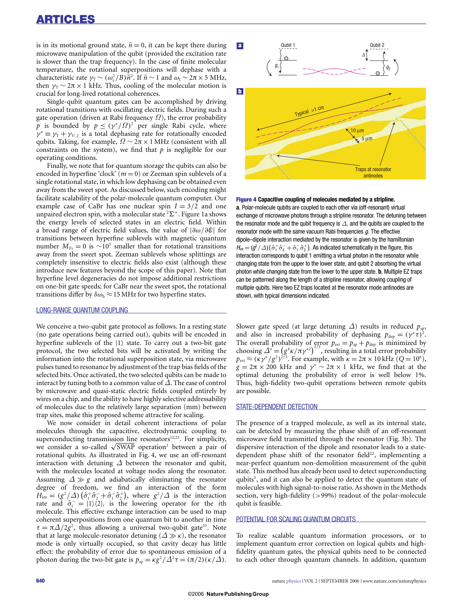is in its motional ground state,  $\bar{n} = 0$ , it can be kept there during microwave manipulation of the qubit (provided the excitation rate is slower than the trap frequency). In the case of finite molecular temperature, the rotational superpositions will dephase with a characteristic rate  $\gamma_{\rm T} \sim (\omega_{\rm r}^2/B)\bar{n}^2$ . If  $\bar{n} \sim 1$  and  $\omega_{\rm t} \sim 2\pi \times 5$  MHz, then  $\gamma$ <sup>T</sup> ∼ 2π × 1 kHz. Thus, cooling of the molecular motion is crucial for long-lived rotational coherences.

Single-qubit quantum gates can be accomplished by driving rotational transitions with oscillating electric fields. During such a gate operation (driven at Rabi frequency  $\Omega$ ), the error probability *p* is bounded by  $p \leq (\gamma^*/\Omega)^2$  per single Rabi cycle, where  $\gamma^* \equiv \gamma_T + \gamma_{V,2}$  is a total dephasing rate for rotationally encoded qubits. Taking, for example,  $\Omega \sim 2\pi \times 1$  MHz (consistent with all constraints on the system), we find that *p* is negligible for our operating conditions.

Finally, we note that for quantum storage the qubits can also be encoded in hyperfine 'clock'  $(m = 0)$  or Zeeman spin sublevels of a single rotational state, in which low dephasing can be obtained even away from the sweet spot. As discussed below, such encoding might facilitate scalability of the polar-molecule quantum computer. Our example case of CaBr has one nuclear spin  $I = 3/2$  and one unpaired electron spin, with a molecular state  ${}^{2}\Sigma^{+}$ . Figure 1a shows the energy levels of selected states in an electric field. Within a broad range of electric field values, the value of  $|\partial \omega / \partial \mathcal{E}|$  for transitions between hyperfine sublevels with magnetic quantum number  $M_{F_3} = 0$  is  $\sim 10^3$  smaller than for rotational transitions away from the sweet spot. Zeeman sublevels whose splittings are completely insensitive to electric fields also exist (although these introduce new features beyond the scope of this paper). Note that hyperfine level degeneracies do not impose additional restrictions on one-bit gate speeds; for CaBr near the sweet spot, the rotational transitions differ by  $\delta \omega_{h} \approx 15 \text{ MHz}$  for two hyperfine states.

# LONG-RANGE QUANTUM COUPLING

We conceive a two-qubit gate protocol as follows. In a resting state (no gate operations being carried out), qubits will be encoded in hyperfine sublevels of the  $|1\rangle$  state. To carry out a two-bit gate protocol, the two selected bits will be activated by writing the information into the rotational superposition state, via microwave pulses tuned to resonance by adjustment of the trap bias fields of the selected bits. Once activated, the two selected qubits can be made to interact by tuning both to a common value of  $\Delta$ . The ease of control by microwave and quasi-static electric fields coupled entirely by wires on a chip, and the ability to have highly selective addressability of molecules due to the relatively large separation (mm) between trap sites, make this proposed scheme attractive for scaling.

We now consider in detail coherent interactions of polar molecules through the capacitive, electrodynamic coupling to superconducting transmission line resonators $12,23$ . For simplicity, we consider a so-called √SWAP operation<sup>2</sup> between a pair of rotational qubits. As illustrated in Fig. 4, we use an off-resonant interaction with detuning  $\Delta$  between the resonator and qubit, with the molecules located at voltage nodes along the resonator. Assuming  $\Delta \gg g$  and adiabatically eliminating the resonator degree of freedom, we find an interaction of the form  $H_{\text{int}} = (g^2/\Delta) \left( \hat{\sigma}_1^+ \hat{\sigma}_2^- + \hat{\sigma}_1^- \hat{\sigma}_2^+ \right)$ , where  $g^2/\Delta$  is the interaction rate and  $\hat{\sigma}_{i}^{-} = |1\rangle\langle 2|_{i}$  is the lowering operator for the *i*th molecule. This effective exchange interaction can be used to map coherent superpositions from one quantum bit to another in time  $\tau = \pi \Delta/2g^2$ , thus allowing a universal two-qubit gate<sup>35</sup>. Note that at large molecule-resonator detuning  $(\Delta \gg \kappa)$ , the resonator mode is only virtually occupied, so that cavity decay has little effect: the probability of error due to spontaneous emission of a photon during the two-bit gate is  $p_{sp} = \kappa g^2 / \Delta^2 \tau = (\pi/2)(\kappa/\Delta)$ .



## **Figure 4 Capacitive coupling of molecules mediated by a stripline.**

**a**, Polar-molecule qubits are coupled to each other via (off-resonant) virtual exchange of microwave photons through a stripline resonator. The detuning between the resonator mode and the qubit frequency is  $\Delta$ , and the qubits are coupled to the resonator mode with the same vacuum Rabi frequencies  $g$ . The effective dipole–dipole interaction mediated by the resonator is given by the hamiltonian  $H_{\text{int}} = (g^2/\Delta)(\hat{\sigma}_1^+ \hat{\sigma}_2^- + \hat{\sigma}_1^- \hat{\sigma}_2^+)$ . As indicated schematically in the figure, this interaction corresponds to qubit 1 emitting a virtual photon in the resonator while changing state from the upper to the lower state, and qubit 2 absorbing the virtual photon while changing state from the lower to the upper state. **b**, Multiple EZ traps can be patterned along the length of a stripline resonator, allowing coupling of multiple qubits. Here two EZ traps located at the resonator mode antinodes are shown, with typical dimensions indicated.

Slower gate speed (at large detuning  $\Delta$ ) results in reduced  $p_{\text{sp}}$ , and also in increased probability of dephasing  $p_{\text{dep}} = (\gamma^* \tau)^2$ . The overall probability of error  $p_{\text{err}} = p_{\text{sp}} + p_{\text{dep}}$  is minimized by choosing  $\Delta^* = (g^4 \kappa / \pi \gamma^{*2})^{1/3}$ , resulting in a total error probability  $p_{\text{err}} \approx (\kappa \gamma^*/g^2)^{2/3}$ . For example, with  $\kappa = 2\pi \times 10 \text{ kHz } (Q = 10^6)$ ,  $g = 2\pi \times 200$  kHz and  $\gamma^* \sim 2\pi \times 1$  kHz, we find that at the optimal detuning the probability of error is well below 1%. Thus, high-fidelity two-qubit operations between remote qubits are possible.

#### STATE-DEPENDENT DETECTION

The presence of a trapped molecule, as well as its internal state, can be detected by measuring the phase shift of an off-resonant microwave field transmitted through the resonator (Fig. 3b). The dispersive interaction of the dipole and resonator leads to a statedependent phase shift of the resonator field<sup>22</sup>, implementing a near-perfect quantum non-demolition measurement of the qubit state. This method has already been used to detect superconducting qubits<sup>3</sup>, and it can also be applied to detect the quantum state of molecules with high signal-to-noise ratio. As shown in the Methods section, very high-fidelity (>99%) readout of the polar-molecule qubit is feasible.

# POTENTIAL FOR SCALING QUANTUM CIRCUITS

To realize scalable quantum information processors, or to implement quantum error correction on logical qubits and highfidelity quantum gates, the physical qubits need to be connected to each other through quantum channels. In addition, quantum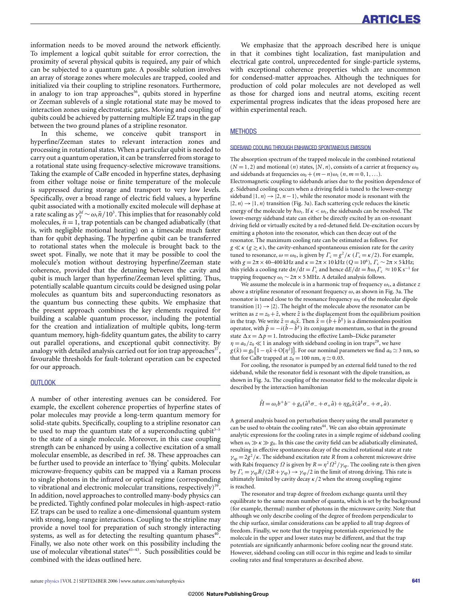information needs to be moved around the network efficiently. To implement a logical qubit suitable for error correction, the proximity of several physical qubits is required, any pair of which can be subjected to a quantum gate. A possible solution involves an array of storage zones where molecules are trapped, cooled and initialized via their coupling to stripline resonators. Furthermore, in analogy to ion trap approaches<sup>36</sup>, qubits stored in hyperfine or Zeeman sublevels of a single rotational state may be moved to interaction zones using electrostatic gates. Moving and coupling of qubits could be achieved by patterning multiple EZ traps in the gap between the two ground planes of a stripline resonator.

In this scheme, we conceive qubit transport in hyperfine/Zeeman states to relevant interaction zones and processing in rotational states. When a particular qubit is needed to carry out a quantum operation, it can be transferred from storage to a rotational state using frequency-selective microwave transitions. Taking the example of CaBr encoded in hyperfine states, dephasing from either voltage noise or finite temperature of the molecule is suppressed during storage and transport to very low levels. Specifically, over a broad range of electric field values, a hyperfine qubit associated with a motionally excited molecule will dephase at a rate scaling as  $\gamma_{\rm T}^{\rm hf} \sim \omega_{\rm t} \bar{n} / 10^3$ . This implies that for reasonably cold molecules,  $\bar{n} = 1$ , trap potentials can be changed adiabatically (that is, with negligible motional heating) on a timescale much faster than for qubit dephasing. The hyperfine qubit can be transferred to rotational states when the molecule is brought back to the sweet spot. Finally, we note that it may be possible to cool the molecule's motion without destroying hyperfine/Zeeman state coherence, provided that the detuning between the cavity and qubit is much larger than hyperfine/Zeeman level splitting. Thus, potentially scalable quantum circuits could be designed using polar molecules as quantum bits and superconducting resonators as the quantum bus connecting these qubits. We emphasize that the present approach combines the key elements required for building a scalable quantum processor, including the potential for the creation and intialization of multiple qubits, long-term quantum memory, high-fidelity quantum gates, the ability to carry out parallel operations, and exceptional qubit connectivity. By analogy with detailed analysis carried out for ion trap approaches<sup>37</sup>, favourable thresholds for fault-tolerant operation can be expected for our approach.

# **OUTLOOK**

A number of other interesting avenues can be considered. For example, the excellent coherence properties of hyperfine states of polar molecules may provide a long-term quantum memory for solid-state qubits. Specifically, coupling to a stripline resonator can be used to map the quantum state of a superconducting qubit<sup>3-5</sup> to the state of a single molecule. Moreover, in this case coupling strength can be enhanced by using a collective excitation of a small molecular ensemble, as described in ref. 38. These approaches can be further used to provide an interface to 'flying' qubits. Molecular microwave-frequency qubits can be mapped via a Raman process to single photons in the infrared or optical regime (corresponding to vibrational and electronic molecular transitions, respectively)<sup>39</sup>. In addition, novel approaches to controlled many-body physics can be predicted. Tightly confined polar molecules in high-aspect-ratio EZ traps can be used to realize a one-dimensional quantum system with strong, long-range interactions. Coupling to the stripline may provide a novel tool for preparation of such strongly interacting systems, as well as for detecting the resulting quantum phases $40$ . Finally, we also note other work on this possibility including the use of molecular vibrational states $41-43$ . Such possibilities could be combined with the ideas outlined here.

We emphasize that the approach described here is unique in that it combines tight localization, fast manipulation and electrical gate control, unprecedented for single-particle systems, with exceptional coherence properties which are uncommon for condensed-matter approaches. Although the techniques for production of cold polar molecules are not developed as well as those for charged ions and neutral atoms, exciting recent experimental progress indicates that the ideas proposed here are within experimental reach.

#### **METHODS**

# SIDEBAND COOLING THROUGH ENHANCED SPONTANEOUS EMISSION

The absorption spectrum of the trapped molecule in the combined rotational  $(N = 1, 2)$  and motional  $(n)$  states,  $|N, n\rangle$ , consists of a carrier at frequency  $\omega_0$ and sidebands at frequencies  $\omega_0 + (m - n)\omega_t$  (*n*, *m* = 0, 1, ...). Electromagnetic coupling to sidebands arises due to the position dependence of *g*. Sideband cooling occurs when a driving field is tuned to the lower-energy sideband  $|1, n\rangle \rightarrow |2, n-1\rangle$ , while the resonator mode is resonant with the  $|2,n\rangle \rightarrow |1,n\rangle$  transition (Fig. 3a). Each scattering cycle reduces the kinetic energy of the molecule by  $\hbar\omega_t$ . If  $\kappa < \omega_t$ , the sidebands can be resolved. The lower-energy sideband state can either be directly excited by an on-resonant driving field or virtually excited by a red-detuned field. De-excitation occurs by emitting a photon into the resonator, which can then decay out of the resonator. The maximum cooling rate can be estimated as follows. For *g* ≪ κ (*g* ≥ κ), the cavity-enhanced spontaneous emission rate for the cavity tuned to resonance,  $\omega = \omega_0$ , is given by  $\Gamma_c = g^2/\kappa$  ( $\Gamma_c = \kappa/2$ ). For example, with  $g = 2\pi \times 40$ –400 kHz and  $\kappa = 2\pi \times 10$  kHz ( $Q = 10^6$ ),  $\Gamma_c \sim 2\pi \times 5$  kHz; this yields a cooling rate  $dn/dt = \Gamma_c$  and hence  $dE/dt = \hbar \omega_t \Gamma_c \approx 10 \text{ K s}^{-1}$  for trapping frequency  $ω$ <sub>t</sub> ∼ 2π × 5 MHz. A detailed analysis follows.

We assume the molecule is in a harmonic trap of frequency  $\omega_t$ , a distance  $z$ above a stripline resonator of resonant frequency  $\omega$ , as shown in Fig. 3a. The resonator is tuned close to the resonance frequency  $\omega_0$  of the molecular dipole transition  $|1\rangle \rightarrow |2\rangle$ . The height of the molecule above the resonator can be written as  $z = z_0 + \hat{z}$ , where  $\hat{z}$  is the displacement from the equilibrium position in the trap. We write  $\hat{z} = a_0 \hat{x}$ . Then  $\hat{x} = (b + b^{\dagger})$  is a dimensionless position operator, with  $\hat{p} = -i(b - b^{\dagger})$  its conjugate momentum, so that in the ground state  $\Delta x = \Delta p = 1$ . Introducing the effective Lamb–Dicke parameter  $\eta = a_0/z_0 \ll 1$  in analogy with sideband cooling in ion traps<sup>29</sup>, we have  $g(\hat{x}) = g_0 [1 - \eta \hat{x} + O(\eta^2)]$ . For our nominal parameters we find  $a_0 \approx 3$  nm, so that for CaBr trapped at  $z_0 = 100$  nm,  $\eta \simeq 0.03$ .

For cooling, the resonator is pumped by an external field tuned to the red sideband, while the resonator field is resonant with the dipole transition, as shown in Fig. 3a. The coupling of the resonator field to the molecular dipole is described by the interaction hamiltonian

$$
\hat{H} = \omega_t b^+ b^- + g_0 (\hat{a}^\dagger \sigma_- + \sigma_+ \hat{a}) + \eta g_0 \hat{x} (\hat{a}^\dagger \sigma_- + \sigma_+ \hat{a}).
$$

A general analysis based on perturbation theory using the small parameter  $\eta$ can be used to obtain the cooling rates<sup>44</sup>. We can also obtain approximate analytic expressions for the cooling rates in a simple regime of sideband cooling when  $\omega_t \gg \kappa \gg g_0$ . In this case the cavity field can be adiabatically eliminated, resulting in effective spontaneous decay of the excited rotational state at rate  $\gamma_{sp} = 2g^2/\kappa$ . The sideband excitation rate *R* from a coherent microwave drive with Rabi frequency  $\Omega$  is given by  $R = \eta^2 \Omega^2 / \gamma_{sp}$ . The cooling rate is then given by  $\Gamma_c = \gamma_{sp}R/(2R+\gamma_{sp}) \rightarrow \gamma_{sp}/2$  in the limit of strong driving. This rate is ultimately limited by cavity decay  $\kappa/2$  when the strong coupling regime is reached.

The resonator and trap degree of freedom exchange quanta until they equilibrate to the same mean number of quanta, which is set by the background (for example, thermal) number of photons in the microwave cavity. Note that although we only describe cooling of the degree of freedom perpendicular to the chip surface, similar considerations can be applied to all trap degrees of freedom. Finally, we note that the trapping potentials experienced by the molecule in the upper and lower states may be different, and that the trap potentials are significantly anharmonic before cooling near the ground state. However, sideband cooling can still occur in this regime and leads to similar cooling rates and final temperatures as described above.